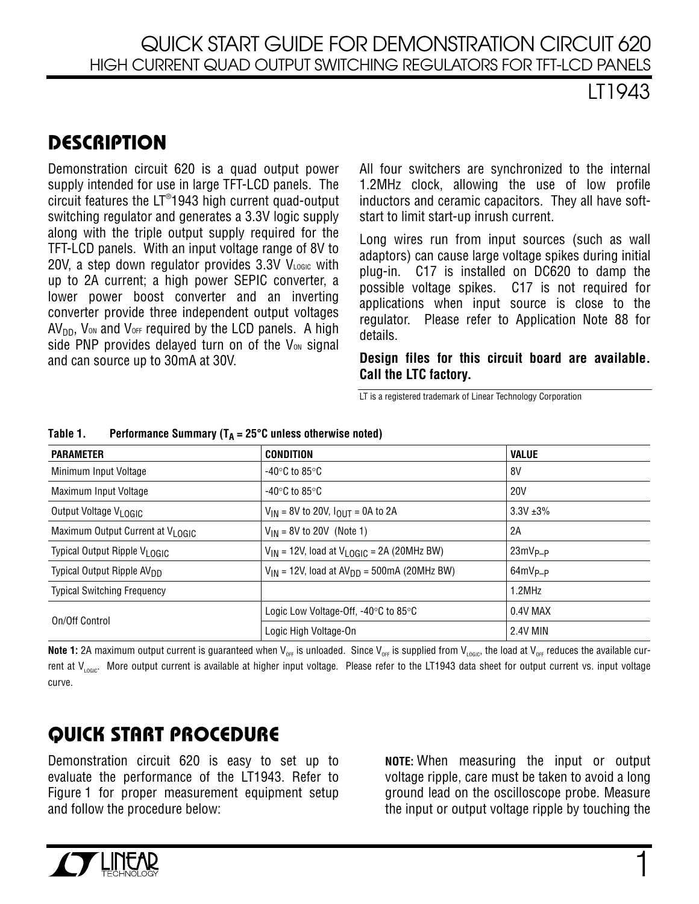LT1943

## **DESCRIPTION**

Demonstration circuit 620 is a quad output power supply intended for use in large TFT-LCD panels. The circuit features the  $LT^{\circ}$ 1943 high current quad-output switching regulator and generates a 3.3V logic supply along with the triple output supply required for the TFT-LCD panels. With an input voltage range of 8V to 20V, a step down regulator provides  $3.3V$  VLOGIC with up to 2A current; a high power SEPIC converter, a lower power boost converter and an inverting converter provide three independent output voltages  $AV<sub>DD</sub>$ , V<sub>on</sub> and V<sub>OFF</sub> required by the LCD panels. A high side PNP provides delayed turn on of the  $V_{ON}$  signal and can source up to 30mA at 30V.

All four switchers are synchronized to the internal 1.2MHz clock, allowing the use of low profile inductors and ceramic capacitors. They all have softstart to limit start-up inrush current.

Long wires run from input sources (such as wall adaptors) can cause large voltage spikes during initial plug-in. C17 is installed on DC620 to damp the possible voltage spikes. C17 is not required for applications when input source is close to the regulator. Please refer to Application Note 88 for details.

**Design files for this circuit board are available. Call the LTC factory.** 

LT is a registered trademark of Linear Technology Corporation

| <b>PARAMETER</b>                              | <b>CONDITION</b>                                           | <b>VALUE</b>    |
|-----------------------------------------------|------------------------------------------------------------|-----------------|
| Minimum Input Voltage                         | -40°C to 85°C                                              | 8V              |
| Maximum Input Voltage                         | -40°C to 85°C                                              | <b>20V</b>      |
| Output Voltage VLOGIC                         | $V_{IN}$ = 8V to 20V, $I_{OUT}$ = 0A to 2A                 | $3.3V + 3%$     |
| Maximum Output Current at V <sub>I OGIC</sub> | $V_{IN}$ = 8V to 20V (Note 1)                              | 2A              |
| Typical Output Ripple V <sub>I OGIC</sub>     | $V_{IN}$ = 12V, load at V <sub>LOGIC</sub> = 2A (20MHz BW) | $23mV_{P-P}$    |
| Typical Output Ripple AV <sub>DD</sub>        | $V_{IN}$ = 12V, load at $AV_{DD}$ = 500mA (20MHz BW)       | $64mV_{P-P}$    |
| <b>Typical Switching Frequency</b>            |                                                            | 1.2MHz          |
| On/Off Control                                | Logic Low Voltage-Off, $-40^{\circ}$ C to 85 $^{\circ}$ C  | 0.4V MAX        |
|                                               | Logic High Voltage-On                                      | <b>2.4V MIN</b> |

Table 1. Performance Summary  $(T_A = 25^\circ C \text{ unless otherwise noted})$ 

**Note 1:** 2A maximum output current is guaranteed when V<sub>OFF</sub> is unloaded. Since V<sub>OFF</sub> is supplied from V<sub>LOGIC</sub>, the load at V<sub>OFF</sub> reduces the available current at  $V_{\text{nonc}}$ . More output current is available at higher input voltage. Please refer to the LT1943 data sheet for output current vs. input voltage curve.

## **QUICK START PROCEDURE**

Demonstration circuit 620 is easy to set up to evaluate the performance of the LT1943. Refer to Figure 1 for proper measurement equipment setup and follow the procedure below:

**NOTE:** When measuring the input or output voltage ripple, care must be taken to avoid a long ground lead on the oscilloscope probe. Measure the input or output voltage ripple by touching the

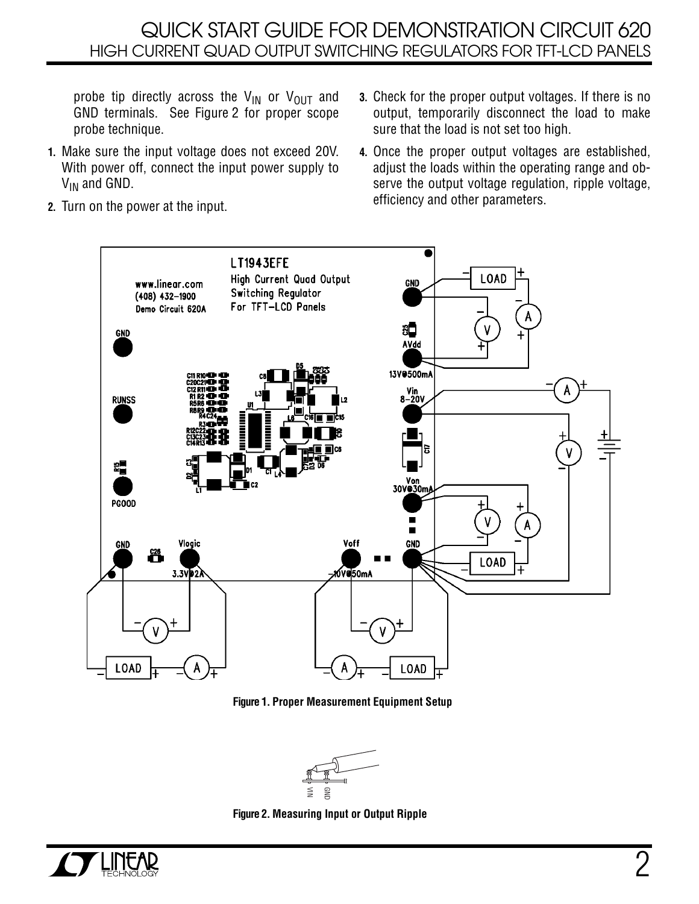## QUICK START GUIDE FOR DEMONSTRATION CIRCUIT 620 HIGH CURRENT QUAD OUTPUT SWITCHING REGULATORS FOR TFT-LCD PANELS

probe tip directly across the  $V_{IN}$  or  $V_{OUT}$  and GND terminals. See Figure 2 for proper scope probe technique.

- **1.** Make sure the input voltage does not exceed 20V. With power off, connect the input power supply to V<sub>IN</sub> and GND.
- **3.** Check for the proper output voltages. If there is no output, temporarily disconnect the load to make sure that the load is not set too high.
- **4.** Once the proper output voltages are established, adjust the loads within the operating range and observe the output voltage regulation, ripple voltage, efficiency and other parameters.

**2.** Turn on the power at the input.



**Figure 1. Proper Measurement Equipment Setup** 



**Figure 2. Measuring Input or Output Ripple**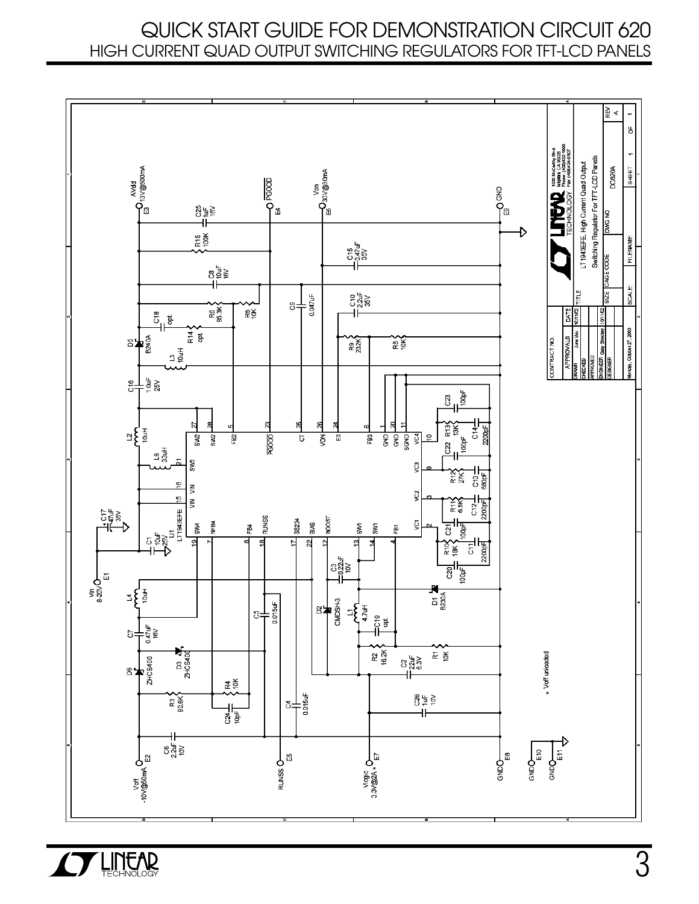## QUICK START GUIDE FOR DEMONSTRATION CIRCUIT 620 HIGH CURRENT QUAD OUTPUT SWITCHING REGULATORS FOR TFT-LCD PANELS



3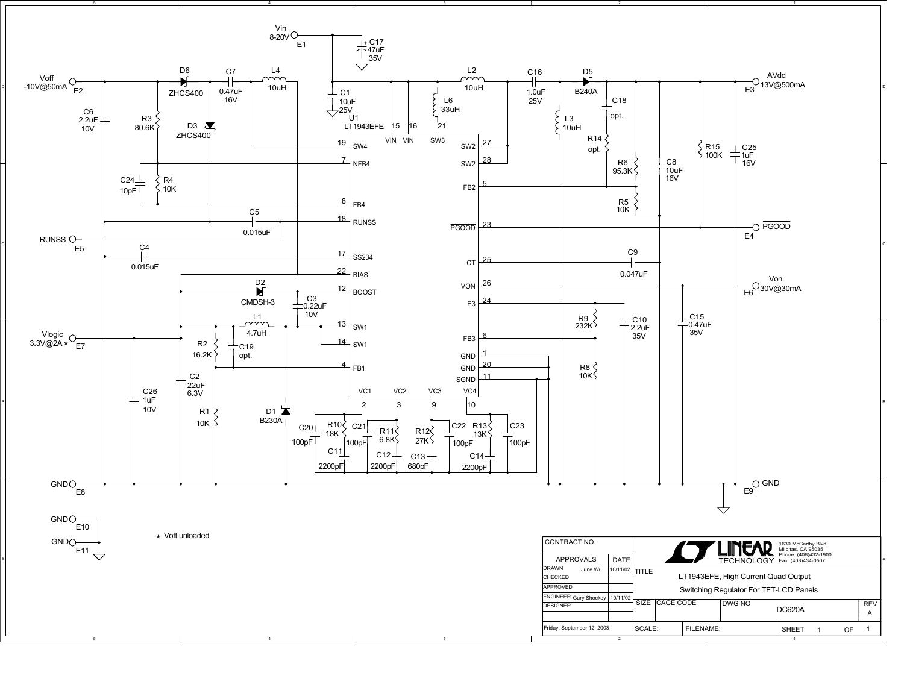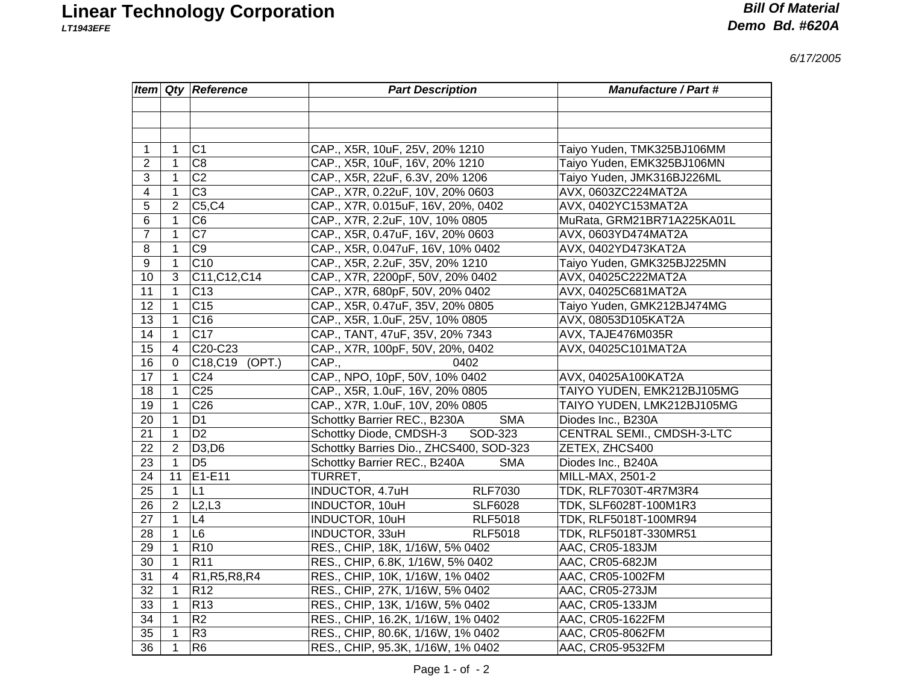*6/17/2005*

|                 |                | <b>Item Qty Reference</b>                                         | <b>Part Description</b>                    | <b>Manufacture / Part #</b>  |
|-----------------|----------------|-------------------------------------------------------------------|--------------------------------------------|------------------------------|
|                 |                |                                                                   |                                            |                              |
|                 |                |                                                                   |                                            |                              |
|                 |                |                                                                   |                                            |                              |
| 1               | $\mathbf{1}$   | C <sub>1</sub>                                                    | CAP., X5R, 10uF, 25V, 20% 1210             | Taiyo Yuden, TMK325BJ106MM   |
| $\overline{2}$  | $\mathbf{1}$   | C <sub>8</sub>                                                    | CAP., X5R, 10uF, 16V, 20% 1210             | Taiyo Yuden, EMK325BJ106MN   |
| 3               | $\mathbf{1}$   | $\overline{C2}$                                                   | CAP., X5R, 22uF, 6.3V, 20% 1206            | Taiyo Yuden, JMK316BJ226ML   |
| $\overline{4}$  | $\mathbf{1}$   | $\overline{C3}$                                                   | CAP., X7R, 0.22uF, 10V, 20% 0603           | AVX, 0603ZC224MAT2A          |
| 5               | $\overline{2}$ | C5, C4                                                            | CAP., X7R, 0.015uF, 16V, 20%, 0402         | AVX, 0402YC153MAT2A          |
| 6               | 1              | C <sub>6</sub>                                                    | CAP., X7R, 2.2uF, 10V, 10% 0805            | MuRata, GRM21BR71A225KA01L   |
| $\overline{7}$  | $\mathbf{1}$   | $\overline{C7}$                                                   | CAP., X5R, 0.47uF, 16V, 20% 0603           | AVX, 0603YD474MAT2A          |
| 8               | $\mathbf{1}$   | $\overline{C9}$                                                   | CAP., X5R, 0.047uF, 16V, 10% 0402          | AVX, 0402YD473KAT2A          |
| 9               | $\mathbf{1}$   | C10                                                               | CAP., X5R, 2.2uF, 35V, 20% 1210            | Taiyo Yuden, GMK325BJ225MN   |
| 10              | 3              | C11, C12, C14                                                     | CAP., X7R, 2200pF, 50V, 20% 0402           | AVX, 04025C222MAT2A          |
| 11              | $\mathbf{1}$   | C <sub>13</sub>                                                   | CAP., X7R, 680pF, 50V, 20% 0402            | AVX, 04025C681MAT2A          |
| 12 <sub>2</sub> | $\mathbf{1}$   | C <sub>15</sub>                                                   | CAP., X5R, 0.47uF, 35V, 20% 0805           | Taiyo Yuden, GMK212BJ474MG   |
| 13              | $\mathbf{1}$   | C <sub>16</sub>                                                   | CAP., X5R, 1.0uF, 25V, 10% 0805            | AVX, 08053D105KAT2A          |
| $\overline{14}$ | $\mathbf{1}$   | $\overline{C17}$                                                  | CAP., TANT, 47uF, 35V, 20% 7343            | AVX, TAJE476M035R            |
| 15              | 4              | C20-C23                                                           | CAP., X7R, 100pF, 50V, 20%, 0402           | AVX, 04025C101MAT2A          |
| 16              | 0              | C18,C19 (OPT.)                                                    | CAP.,<br>0402                              |                              |
| 17              | $\mathbf{1}$   | C <sub>24</sub>                                                   | CAP., NPO, 10pF, 50V, 10% 0402             | AVX, 04025A100KAT2A          |
| 18              | $\mathbf{1}$   | C <sub>25</sub>                                                   | CAP., X5R, 1.0uF, 16V, 20% 0805            | TAIYO YUDEN, EMK212BJ105MG   |
| 19              | 1              | C <sub>26</sub>                                                   | CAP., X7R, 1.0uF, 10V, 20% 0805            | TAIYO YUDEN, LMK212BJ105MG   |
| 20              | 1              | D <sub>1</sub>                                                    | Schottky Barrier REC., B230A<br><b>SMA</b> | Diodes Inc., B230A           |
| 21              | $\mathbf{1}$   | D <sub>2</sub>                                                    | Schottky Diode, CMDSH-3<br>SOD-323         | CENTRAL SEMI., CMDSH-3-LTC   |
| 22              | $\overline{2}$ | D3, D6                                                            | Schottky Barries Dio., ZHCS400, SOD-323    | ZETEX, ZHCS400               |
| 23              | $\mathbf{1}$   | D <sub>5</sub>                                                    | Schottky Barrier REC., B240A<br><b>SMA</b> | Diodes Inc., B240A           |
| 24              | 11             | E1-E11                                                            | TURRET,                                    | MILL-MAX, 2501-2             |
| 25              | $\mathbf{1}$   | L1                                                                | INDUCTOR, 4.7uH<br><b>RLF7030</b>          | <b>TDK, RLF7030T-4R7M3R4</b> |
| 26              | $\overline{2}$ | L2,L3                                                             | INDUCTOR, 10uH<br><b>SLF6028</b>           | TDK, SLF6028T-100M1R3        |
| 27              | $\mathbf 1$    | L4                                                                | INDUCTOR, 10uH<br><b>RLF5018</b>           | TDK, RLF5018T-100MR94        |
| 28              | $\mathbf{1}$   | L6                                                                | INDUCTOR, 33uH<br><b>RLF5018</b>           | TDK, RLF5018T-330MR51        |
| 29              | $\mathbf{1}$   | R <sub>10</sub>                                                   | RES., CHIP, 18K, 1/16W, 5% 0402            | AAC, CR05-183JM              |
| 30              | $\mathbf{1}$   | R <sub>11</sub>                                                   | RES., CHIP, 6.8K, 1/16W, 5% 0402           | AAC, CR05-682JM              |
| 31              | $\overline{4}$ | R <sub>1</sub> , R <sub>5</sub> , R <sub>8</sub> , R <sub>4</sub> | RES., CHIP, 10K, 1/16W, 1% 0402            | AAC, CR05-1002FM             |
| 32              | $\mathbf{1}$   | R <sub>12</sub>                                                   | RES., CHIP, 27K, 1/16W, 5% 0402            | AAC, CR05-273JM              |
| 33              | $\mathbf{1}$   | R <sub>13</sub>                                                   | RES., CHIP, 13K, 1/16W, 5% 0402            | AAC, CR05-133JM              |
| 34              | $\mathbf 1$    | R2                                                                | RES., CHIP, 16.2K, 1/16W, 1% 0402          | AAC, CR05-1622FM             |
| $\overline{35}$ | $\mathbf{1}$   | R3                                                                | RES., CHIP, 80.6K, 1/16W, 1% 0402          | AAC, CR05-8062FM             |
| $\overline{36}$ | $\mathbf{1}$   | R <sub>6</sub>                                                    | RES., CHIP, 95.3K, 1/16W, 1% 0402          | AAC, CR05-9532FM             |